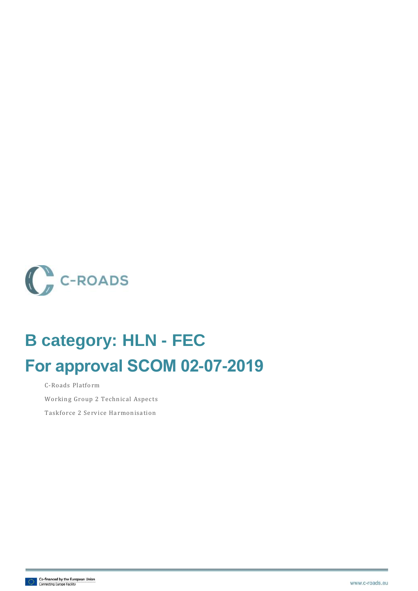

# **B category: HLN - FEC For approval SCOM 02-07-2019**

C-Roads Platform

Working Group 2 Technical Aspects

Taskforce 2 Service Harmonisation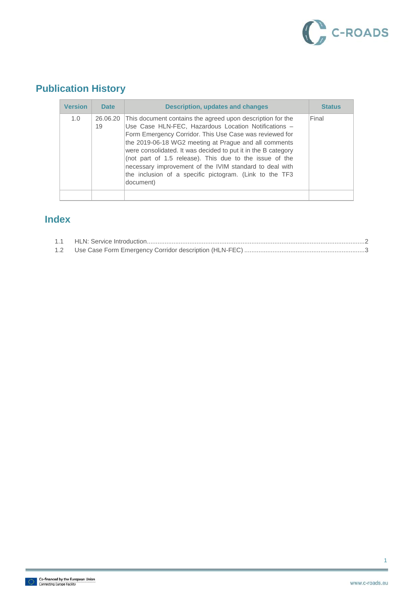

## **Publication History**

| <b>Version</b> | <b>Date</b>    | <b>Description, updates and changes</b>                                                                                                                                                                                                                                                                                                                                                                                                                                                               | <b>Status</b> |
|----------------|----------------|-------------------------------------------------------------------------------------------------------------------------------------------------------------------------------------------------------------------------------------------------------------------------------------------------------------------------------------------------------------------------------------------------------------------------------------------------------------------------------------------------------|---------------|
| 1.0            | 26,06,20<br>19 | This document contains the agreed upon description for the<br>Use Case HLN-FEC, Hazardous Location Notifications -<br>Form Emergency Corridor. This Use Case was reviewed for<br>the 2019-06-18 WG2 meeting at Prague and all comments<br>were consolidated. It was decided to put it in the B category<br>(not part of 1.5 release). This due to the issue of the<br>necessary improvement of the IVIM standard to deal with<br>the inclusion of a specific pictogram. (Link to the TF3<br>document) | Final         |
|                |                |                                                                                                                                                                                                                                                                                                                                                                                                                                                                                                       |               |

#### **Index**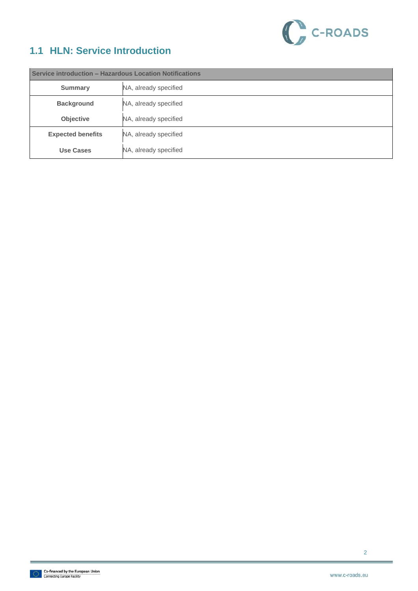

### <span id="page-2-0"></span>**1.1 HLN: Service Introduction**

| Service introduction - Hazardous Location Notifications |                       |  |
|---------------------------------------------------------|-----------------------|--|
| <b>Summary</b>                                          | NA, already specified |  |
| <b>Background</b>                                       | NA, already specified |  |
| <b>Objective</b>                                        | NA, already specified |  |
| <b>Expected benefits</b>                                | NA, already specified |  |
| <b>Use Cases</b>                                        | NA, already specified |  |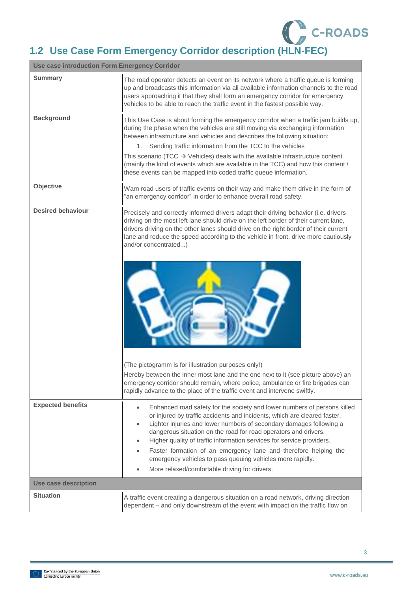

## <span id="page-3-0"></span>**1.2 Use Case Form Emergency Corridor description (HLN-FEC)**

| <b>Use case introduction Form Emergency Corridor</b> |                                                                                                                                                                                                                                                                                                                                                                                                                                                                                                                                                                                                              |  |
|------------------------------------------------------|--------------------------------------------------------------------------------------------------------------------------------------------------------------------------------------------------------------------------------------------------------------------------------------------------------------------------------------------------------------------------------------------------------------------------------------------------------------------------------------------------------------------------------------------------------------------------------------------------------------|--|
| <b>Summary</b>                                       | The road operator detects an event on its network where a traffic queue is forming<br>up and broadcasts this information via all available information channels to the road<br>users approaching it that they shall form an emergency corridor for emergency<br>vehicles to be able to reach the traffic event in the fastest possible way.                                                                                                                                                                                                                                                                  |  |
| <b>Background</b>                                    | This Use Case is about forming the emergency corridor when a traffic jam builds up,<br>during the phase when the vehicles are still moving via exchanging information<br>between infrastructure and vehicles and describes the following situation:<br>Sending traffic information from the TCC to the vehicles<br>1.<br>This scenario (TCC $\rightarrow$ Vehicles) deals with the available infrastructure content<br>(mainly the kind of events which are available in the TCC) and how this content /<br>these events can be mapped into coded traffic queue information.                                 |  |
| Objective                                            | Warn road users of traffic events on their way and make them drive in the form of<br>"an emergency corridor" in order to enhance overall road safety.                                                                                                                                                                                                                                                                                                                                                                                                                                                        |  |
| <b>Desired behaviour</b>                             | Precisely and correctly informed drivers adapt their driving behavior (i.e. drivers<br>driving on the most left lane should drive on the left border of their current lane,<br>drivers driving on the other lanes should drive on the right border of their current<br>lane and reduce the speed according to the vehicle in front, drive more cautiously<br>and/or concentrated)                                                                                                                                                                                                                            |  |
|                                                      |                                                                                                                                                                                                                                                                                                                                                                                                                                                                                                                                                                                                              |  |
|                                                      | (The pictogramm is for illustration purposes only!)<br>Hereby between the inner most lane and the one next to it (see picture above) an<br>emergency corridor should remain, where police, ambulance or fire brigades can<br>rapidly advance to the place of the traffic event and intervene swiftly.                                                                                                                                                                                                                                                                                                        |  |
| <b>Expected benefits</b>                             | Enhanced road safety for the society and lower numbers of persons killed<br>$\bullet$<br>or injured by traffic accidents and incidents, which are cleared faster.<br>Lighter injuries and lower numbers of secondary damages following a<br>$\bullet$<br>dangerous situation on the road for road operators and drivers.<br>Higher quality of traffic information services for service providers.<br>$\bullet$<br>Faster formation of an emergency lane and therefore helping the<br>emergency vehicles to pass queuing vehicles more rapidly.<br>More relaxed/comfortable driving for drivers.<br>$\bullet$ |  |
| <b>Use case description</b>                          |                                                                                                                                                                                                                                                                                                                                                                                                                                                                                                                                                                                                              |  |
| <b>Situation</b>                                     | A traffic event creating a dangerous situation on a road network, driving direction<br>dependent - and only downstream of the event with impact on the traffic flow on                                                                                                                                                                                                                                                                                                                                                                                                                                       |  |

3